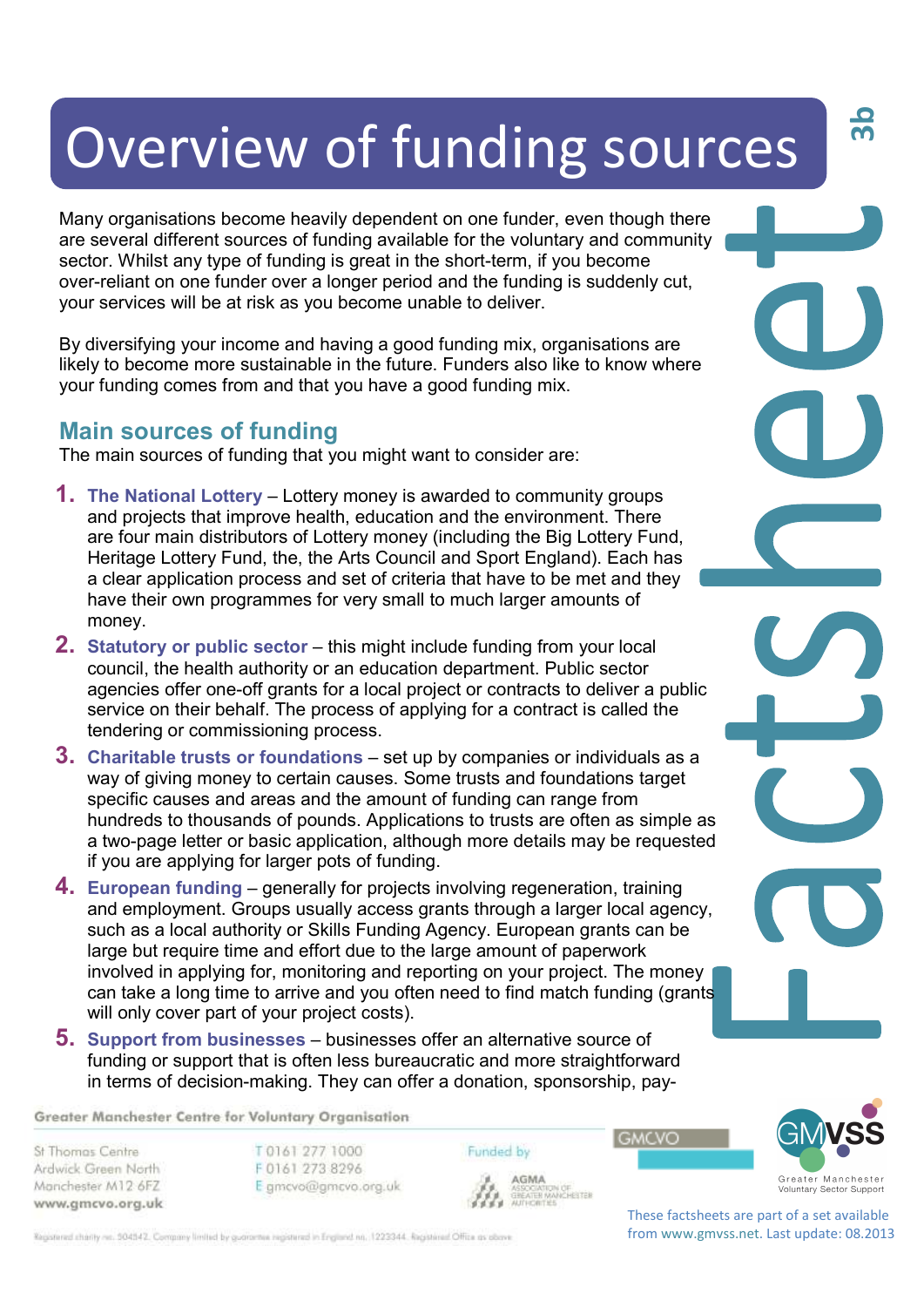# Overview of funding sources

Many organisations become heavily dependent on one funder, even though there are several different sources of funding available for the voluntary and community sector. Whilst any type of funding is great in the short-term, if you become over-reliant on one funder over a longer period and the funding is suddenly cut, your services will be at risk as you become unable to deliver.

By diversifying your income and having a good funding mix, organisations are likely to become more sustainable in the future. Funders also like to know where your funding comes from and that you have a good funding mix.

### **Main sources of funding**

The main sources of funding that you might want to consider are:

- **1. The National Lottery** Lottery money is awarded to community groups and projects that improve health, education and the environment. There are four main distributors of Lottery money (including the Big Lottery Fund, Heritage Lottery Fund, the, the Arts Council and Sport England). Each has a clear application process and set of criteria that have to be met and they have their own programmes for very small to much larger amounts of money.
- **2. Statutory or public sector this might include funding from your local** council, the health authority or an education department. Public sector agencies offer one-off grants for a local project or contracts to deliver a public service on their behalf. The process of applying for a contract is called the tendering or commissioning process.
- **3. Charitable trusts or foundations** set up by companies or individuals as a way of giving money to certain causes. Some trusts and foundations target specific causes and areas and the amount of funding can range from hundreds to thousands of pounds. Applications to trusts are often as simple as a two-page letter or basic application, although more details may be requested if you are applying for larger pots of funding.
- **4. European funding**  generally for projects involving regeneration, training and employment. Groups usually access grants through a larger local agency, such as a local authority or Skills Funding Agency. European grants can be large but require time and effort due to the large amount of paperwork involved in applying for, monitoring and reporting on your project. The money can take a long time to arrive and you often need to find match funding (grants will only cover part of your project costs).
- **5. Support from businesses**  businesses offer an alternative source of funding or support that is often less bureaucratic and more straightforward in terms of decision-making. They can offer a donation, sponsorship, pay-

Greater Manchester Centre for Voluntary Organisation

St Thomas Centre Ardwick Green North Manchester M12 6FZ www.gmcvo.org.uk T0161 277 1000 F0161 273 8296 E gmcvo@gmcvo.org.uk Funded by AGMA **AGMA**<br>ASSOGATION OF<br>GREATER MANCHESTER<br>AUTHORITIES **GMCVO** 



**3b**

These factsheets are part of a set available from www.gmvss.net. Last update: 08.2013

Registered charity no. 504542. Company limited by guarantee registered in England no. 1223344. Registered Office as obove